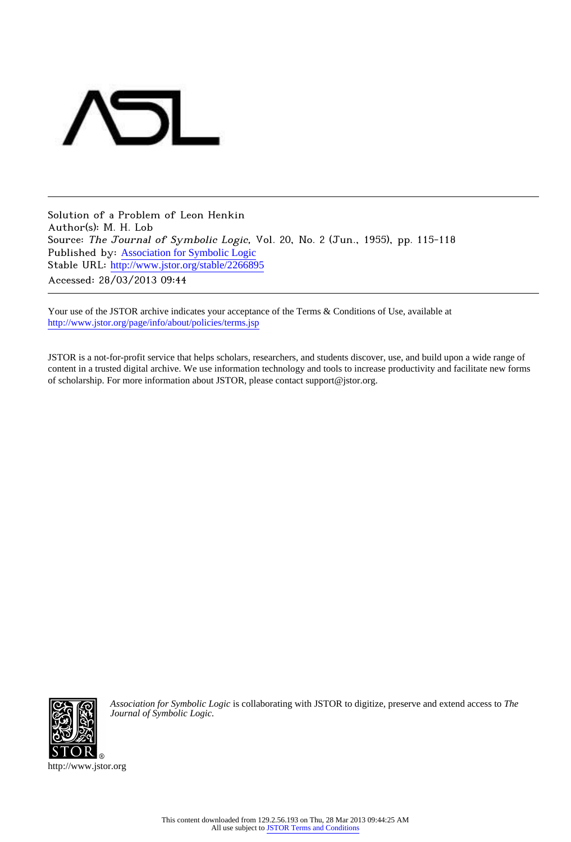

Solution of a Problem of Leon Henkin Author(s): M. H. Lob Source: The Journal of Symbolic Logic, Vol. 20, No. 2 (Jun., 1955), pp. 115-118 Published by: [Association for Symbolic Logic](http://www.jstor.org/action/showPublisher?publisherCode=asl) Stable URL: [http://www.jstor.org/stable/2266895](http://www.jstor.org/stable/2266895?origin=JSTOR-pdf) Accessed: 28/03/2013 09:44

Your use of the JSTOR archive indicates your acceptance of the Terms & Conditions of Use, available at <http://www.jstor.org/page/info/about/policies/terms.jsp>

JSTOR is a not-for-profit service that helps scholars, researchers, and students discover, use, and build upon a wide range of content in a trusted digital archive. We use information technology and tools to increase productivity and facilitate new forms of scholarship. For more information about JSTOR, please contact support@jstor.org.



*Association for Symbolic Logic* is collaborating with JSTOR to digitize, preserve and extend access to *The Journal of Symbolic Logic.*

http://www.jstor.org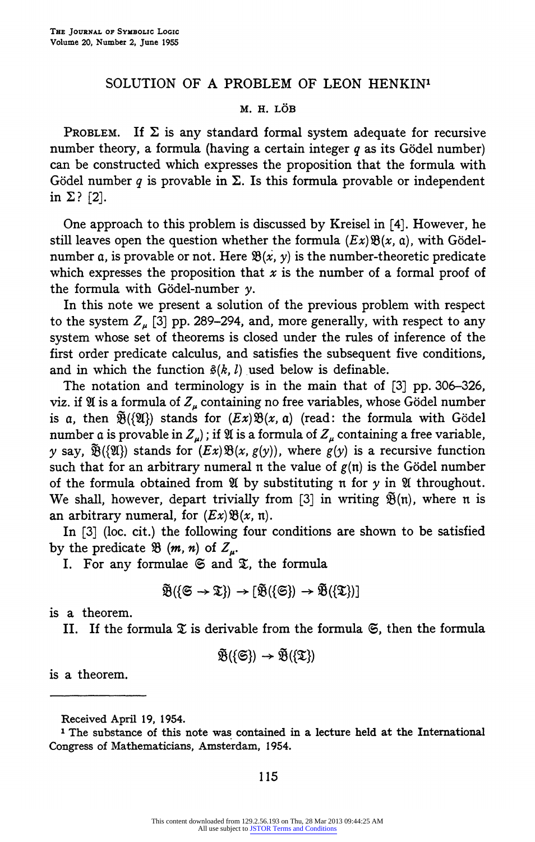## SOLUTION OF A PROBLEM OF LEON HENKIN<sup>1</sup>

## M. H. LÖB

PROBLEM. If  $\Sigma$  is any standard formal system adequate for recursive number theory, a formula (having a certain integer  $q$  as its Gödel number) can be constructed which expresses the proposition that the formula with Gödel number q is provable in  $\Sigma$ . Is this formula provable or independent in  $\Sigma$ ? [2].

One approach to this problem is discussed by Kreisel in [4]. However, he still leaves open the question whether the formula  $(Ex) \mathfrak{B}(x, a)$ , with Gödelnumber a, is provable or not. Here  $\mathfrak{B}(x, y)$  is the number-theoretic predicate which expresses the proposition that  $x$  is the number of a formal proof of the formula with Gödel-number  $\nu$ .

In this note we present a solution of the previous problem with respect to the system  $Z_n$  [3] pp. 289-294, and, more generally, with respect to any system whose set of theorems is closed under the rules of inference of the first order predicate calculus, and satisfies the subsequent five conditions, and in which the function  $\hat{\mathbf{s}}(k, l)$  used below is definable.

The notation and terminology is in the main that of [3] pp. 306-326, viz. if  $\mathfrak A$  is a formula of  $Z_u$  containing no free variables, whose Gödel number is a, then  $\tilde{\mathfrak{B}}(\{\mathfrak{A}\})$  stands for  $(EX) \mathfrak{B}(x, a)$  (read: the formula with Gödel number a is provable in  $Z_{\mu}$ ); if  $\mathfrak{A}$  is a formula of  $Z_{\mu}$  containing a free variable, y say,  $\tilde{\mathfrak{B}}({\mathfrak{A}})$  stands for  $(Ex){\mathfrak{B}}(x, g(y))$ , where  $g(y)$  is a recursive function such that for an arbitrary numeral n the value of  $g(n)$  is the Gödel number of the formula obtained from  $\mathfrak A$  by substituting n for  $\gamma$  in  $\mathfrak A$  throughout. We shall, however, depart trivially from [3] in writing  $\tilde{\mathfrak{B}}(n)$ , where n is an arbitrary numeral, for  $(EX)$   $\mathfrak{B}(x, \mathfrak{n})$ .

In [3] (loc. cit.) the following four conditions are shown to be satisfied by the predicate  $\mathfrak{B}(m, n)$  of  $Z_{\mu}$ .

I. For any formulae  $\mathfrak{S}$  and  $\mathfrak{X}$ , the formula

$$
\widetilde{\mathfrak{B}}(\{\mathfrak{S} \to \mathfrak{T}\}) \to [\widetilde{\mathfrak{B}}(\{\mathfrak{S}\}) \to \widetilde{\mathfrak{B}}(\{\mathfrak{T}\})]
$$

is a theorem.

II. If the formula  $\mathfrak X$  is derivable from the formula  $\mathfrak S$ , then the formula

$$
\widetilde{\mathfrak{B}}(\{\mathfrak{S}\}) \to \widetilde{\mathfrak{B}}(\{\mathfrak{T}\})
$$

is a theorem.

115

Received April 19, 1954.

<sup>1</sup> The substance of this note was contained in a lecture held at the International Congress of Mathematicians, Amsterdam, 1954.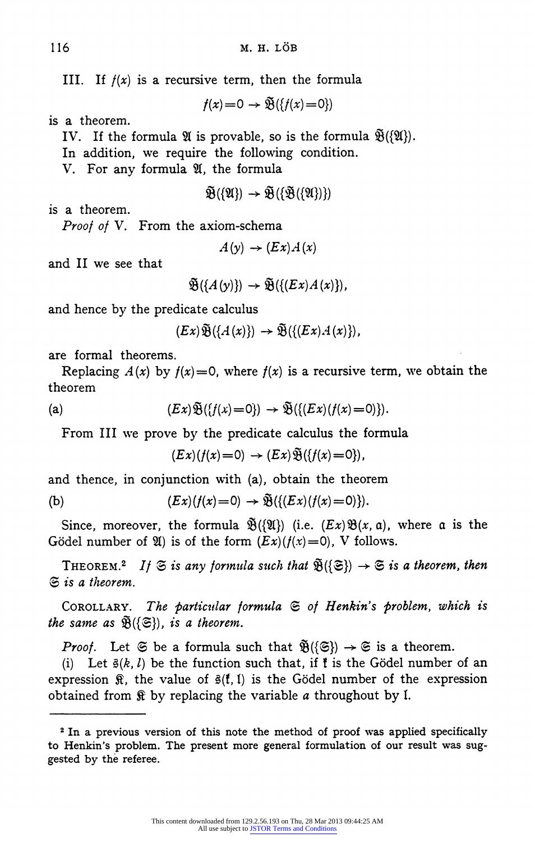III. If  $f(x)$  is a recursive term, then the formula

 $f(x)=0 \rightarrow \widetilde{\mathfrak{B}}(\{f(x)=0\})$ 

is a theorem.

IV. If the formula  $\mathfrak{A}$  is provable, so is the formula  $\widetilde{\mathfrak{B}}(\{\mathfrak{A}\}).$ 

In addition, we require the following condition.

V. For any formula  $\mathfrak{A}$ , the formula

$$
\widetilde{\mathfrak{B}}(\{\mathfrak{A}\}) \to \widetilde{\mathfrak{B}}(\{\widetilde{\mathfrak{B}}(\{\mathfrak{A}\})\})
$$

is a theorem.

Proof of V. From the axiom-schema

 $A(y) \rightarrow (Ex)A(x)$ 

and II we see that

 $\widetilde{\mathfrak{B}}(\{A(y)\}) \rightarrow \widetilde{\mathfrak{B}}(\{(Ex)A(x)\}),$ 

and hence by the predicate calculus

 $(Ex) \widetilde{\mathfrak{B}}(\{A(x)\}) \rightarrow \widetilde{\mathfrak{B}}(\{(Ex)A(x)\}),$ 

are formal theorems.

Replacing  $A(x)$  by  $f(x)=0$ , where  $f(x)$  is a recursive term, we obtain the theorem

(a) 
$$
(Ex)\widetilde{\mathfrak{B}}(\lbrace f(x)=0\rbrace) \rightarrow \widetilde{\mathfrak{B}}(\lbrace (Ex)(f(x)=0\rbrace)).
$$

From III we prove by the predicate calculus the formula

$$
(Ex)(f(x)=0) \rightarrow (Ex)\widetilde{\mathfrak{B}}(\lbrace f(x)=0\rbrace),
$$

and thence, in conjunction with (a), obtain the theorem

(b) 
$$
(Ex)(f(x)=0) \rightarrow \tilde{\mathfrak{B}}(\{(Ex)(f(x)=0)\}).
$$

Since, moreover, the formula  $\mathfrak{B}(\{\mathfrak{A}\})$  (i.e.  $(EX)\mathfrak{B}(x, \mathfrak{a})$ , where a is the Gödel number of  $\mathfrak{A}$ ) is of the form  $(EX)(f(x)=0)$ , V follows.

THEOREM.<sup>2</sup> If  $\mathfrak{S}$  is any formula such that  $\mathfrak{B}(\{\mathfrak{S}\}) \to \mathfrak{S}$  is a theorem, then  $\mathfrak{S}$  is a theorem.

COROLLARY. The particular formula  $\mathfrak S$  of Henkin's problem, which is the same as  $\widetilde{\mathfrak{B}}(\{\mathfrak{S}\})$ , is a theorem.

*Proof.* Let  $\mathfrak{S}$  be a formula such that  $\mathfrak{B}(\{\mathfrak{S}\}) \to \mathfrak{S}$  is a theorem.

(i) Let  $\hat{\mathfrak{s}}(k, l)$  be the function such that, if it is the Gödel number of an expression  $\mathcal{R}$ , the value of  $\mathcal{B}(f, 1)$  is the Gödel number of the expression obtained from  $\mathcal R$  by replacing the variable a throughout by I.

<sup>&</sup>lt;sup>2</sup> In a previous version of this note the method of proof was applied specifically to Henkin's problem. The present more general formulation of our result was suggested by the referee.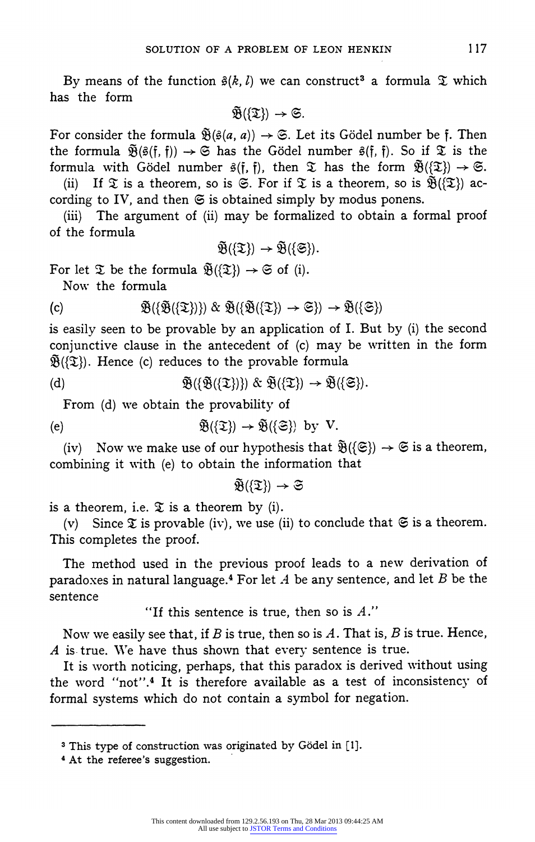By means of the function  $\hat{g}(k, l)$  we can construct<sup>3</sup> a formula  $\hat{\mathfrak{T}}$  which has the form

 $\widetilde{\mathfrak{B}}(\{\mathfrak{T}\}) \rightarrow \mathfrak{S}.$ 

For consider the formula  $\tilde{\mathfrak{B}}(\hat{\mathfrak{s}}(a, a)) \to \mathfrak{S}$ . Let its Gödel number be f. Then the formula  $\tilde{\mathfrak{R}}(\tilde{\mathfrak{g}}(f, f)) \to \mathfrak{S}$  has the Gödel number  $\tilde{\mathfrak{g}}(f, f)$ . So if  $\mathfrak{T}$  is the formula with Gödel number  $\hat{\mathfrak{s}}(\mathfrak{f},\mathfrak{f})$ , then  $\mathfrak{D}$  has the form  $\tilde{\mathfrak{B}}(\mathfrak{D}) \to \mathfrak{S}$ .

(ii) If  $\mathfrak T$  is a theorem, so is  $\mathfrak S$ . For if  $\mathfrak T$  is a theorem, so is  $\widetilde{\mathfrak B}(\mathfrak T)$  according to IV, and then  $\mathfrak S$  is obtained simply by modus ponens.

(iii) The argument of (ii) may be formalized to obtain a formal proof of the formula

$$
\widetilde{\mathfrak{B}}(\{\mathfrak{T}\})\rightarrow\widetilde{\mathfrak{B}}(\{\mathfrak{S}\}).
$$

For let  $\mathfrak{D}$  be the formula  $\mathfrak{B}(\{\mathfrak{D}\}) \to \mathfrak{S}$  of (i).

Now the formula

(c) 
$$
\widetilde{\mathfrak{B}}(\{\widetilde{\mathfrak{B}}(\{\mathfrak{T}\})\}) \& \widetilde{\mathfrak{B}}(\{\widetilde{\mathfrak{B}}(\{\mathfrak{T}\})\} \rightarrow \mathfrak{S}) \rightarrow \widetilde{\mathfrak{B}}(\{\mathfrak{S}\})
$$

is easily seen to be provable by an application of I. But by (i) the second conjunctive clause in the antecedent of (c) may be written in the form  $\tilde{\mathfrak{B}}(\mathfrak{X})$ . Hence (c) reduces to the provable formula

(d) 
$$
\widetilde{\mathfrak{B}}(\{\widetilde{\mathfrak{B}}(\{\mathfrak{T}\})\}) \& \widetilde{\mathfrak{B}}(\{\mathfrak{T}\}) \rightarrow \widetilde{\mathfrak{B}}(\{\mathfrak{S}\}).
$$

From (d) we obtain the provability of

(e) 
$$
\mathfrak{B}(\{\mathfrak{T}\}) \to \mathfrak{B}(\{\mathfrak{S}\})
$$
 by V.

(iv) Now we make use of our hypothesis that  $\tilde{\mathfrak{B}}(\{\mathfrak{S}\}) \to \mathfrak{S}$  is a theorem, combining it with (e) to obtain the information that

$$
\widetilde{\mathfrak{B}}(\{\mathfrak{T}\})\rightarrow \mathfrak{S}
$$

is a theorem, i.e.  $\mathfrak X$  is a theorem by (i).

(v) Since  $\mathfrak X$  is provable (iv), we use (ii) to conclude that  $\mathfrak S$  is a theorem. This completes the proof.

The method used in the previous proof leads to a new derivation of paradoxes in natural language.<sup>4</sup> For let A be any sentence, and let B be the sentence

"If this sentence is true, then so is  $A$ ."

Now we easily see that, if B is true, then so is  $A$ . That is, B is true. Hence,  $A$  is true. We have thus shown that every sentence is true.

It is worth noticing, perhaps, that this paradox is derived without using the word "not".4 It is therefore available as a test of inconsistency of formal systems which do not contain a symbol for negation.

<sup>3</sup> This type of construction was originated by Godel in [1].

<sup>4</sup> At the referee's suggestion.